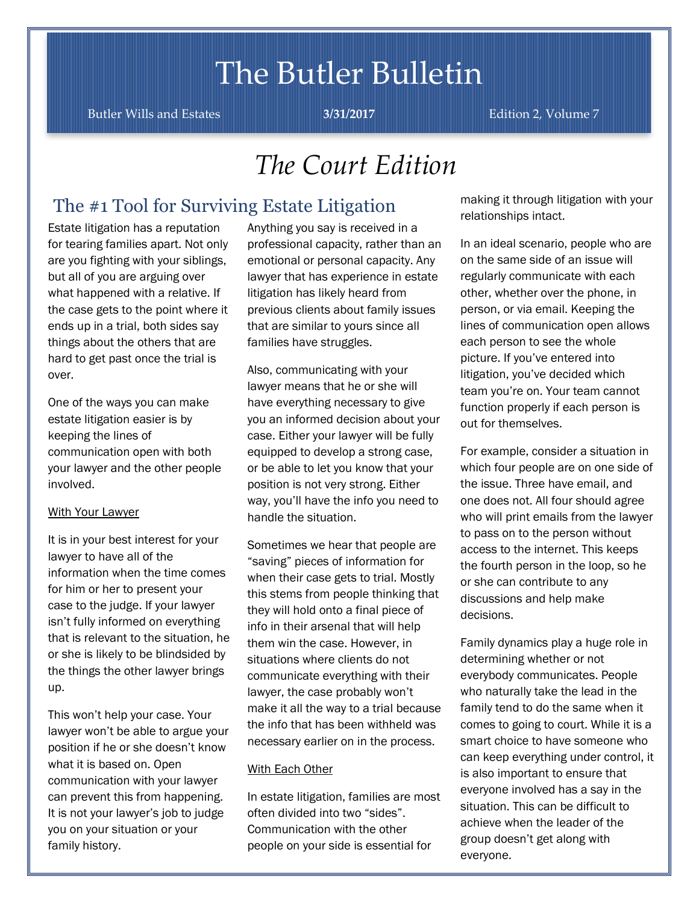# The Butler Bulletin

Butler Wills and Estates **3/31/2017** Edition 2, Volume 7

## *The Court Edition*

### The #1 Tool for Surviving Estate Litigation

Estate litigation has a reputation for tearing families apart. Not only are you fighting with your siblings, but all of you are arguing over what happened with a relative. If the case gets to the point where it ends up in a trial, both sides say things about the others that are hard to get past once the trial is over.

One of the ways you can make estate litigation easier is by keeping the lines of communication open with both your lawyer and the other people involved.

#### With Your Lawyer

It is in your best interest for your lawyer to have all of the information when the time comes for him or her to present your case to the judge. If your lawyer isn't fully informed on everything that is relevant to the situation, he or she is likely to be blindsided by the things the other lawyer brings up.

This won't help your case. Your lawyer won't be able to argue your position if he or she doesn't know what it is based on. Open communication with your lawyer can prevent this from happening. It is not your lawyer's job to judge you on your situation or your family history.

Anything you say is received in a professional capacity, rather than an emotional or personal capacity. Any lawyer that has experience in estate litigation has likely heard from previous clients about family issues that are similar to yours since all families have struggles.

Also, communicating with your lawyer means that he or she will have everything necessary to give you an informed decision about your case. Either your lawyer will be fully equipped to develop a strong case, or be able to let you know that your position is not very strong. Either way, you'll have the info you need to handle the situation.

Sometimes we hear that people are "saving" pieces of information for when their case gets to trial. Mostly this stems from people thinking that they will hold onto a final piece of info in their arsenal that will help them win the case. However, in situations where clients do not communicate everything with their lawyer, the case probably won't make it all the way to a trial because the info that has been withheld was necessary earlier on in the process.

#### With Each Other

In estate litigation, families are most often divided into two "sides". Communication with the other people on your side is essential for

making it through litigation with your relationships intact.

In an ideal scenario, people who are on the same side of an issue will regularly communicate with each other, whether over the phone, in person, or via email. Keeping the lines of communication open allows each person to see the whole picture. If you've entered into litigation, you've decided which team you're on. Your team cannot function properly if each person is out for themselves.

For example, consider a situation in which four people are on one side of the issue. Three have email, and one does not. All four should agree who will print emails from the lawyer to pass on to the person without access to the internet. This keeps the fourth person in the loop, so he or she can contribute to any discussions and help make decisions.

Family dynamics play a huge role in determining whether or not everybody communicates. People who naturally take the lead in the family tend to do the same when it comes to going to court. While it is a smart choice to have someone who can keep everything under control, it is also important to ensure that everyone involved has a say in the situation. This can be difficult to achieve when the leader of the group doesn't get along with everyone.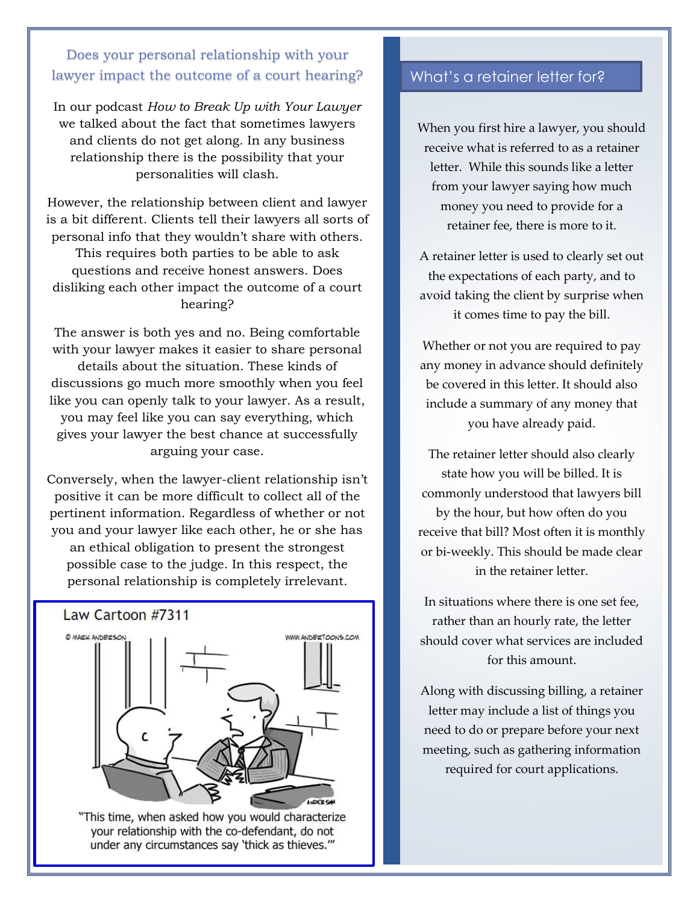### Does your personal relationship with your lawyer impact the outcome of a court hearing?

In our podcast *How to Break Up with Your Lawyer* we talked about the fact that sometimes lawyers and clients do not get along. In any business relationship there is the possibility that your personalities will clash.

However, the relationship between client and lawyer is a bit different. Clients tell their lawyers all sorts of personal info that they wouldn't share with others.

This requires both parties to be able to ask questions and receive honest answers. Does disliking each other impact the outcome of a court hearing?

The answer is both yes and no. Being comfortable with your lawyer makes it easier to share personal details about the situation. These kinds of discussions go much more smoothly when you feel like you can openly talk to your lawyer. As a result, you may feel like you can say everything, which gives your lawyer the best chance at successfully arguing your case.

Conversely, when the lawyer-client relationship isn't positive it can be more difficult to collect all of the pertinent information. Regardless of whether or not you and your lawyer like each other, he or she has an ethical obligation to present the strongest possible case to the judge. In this respect, the personal relationship is completely irrelevant.



"This time, when asked how you would characterize your relationship with the co-defendant, do not under any circumstances say 'thick as thieves.""

### What's a retainer letter for?

When you first hire a lawyer, you should receive what is referred to as a retainer letter. While this sounds like a letter from your lawyer saying how much money you need to provide for a retainer fee, there is more to it.

A retainer letter is used to clearly set out the expectations of each party, and to avoid taking the client by surprise when it comes time to pay the bill.

Whether or not you are required to pay any money in advance should definitely be covered in this letter. It should also include a summary of any money that you have already paid.

The retainer letter should also clearly state how you will be billed. It is commonly understood that lawyers bill by the hour, but how often do you receive that bill? Most often it is monthly or bi-weekly. This should be made clear in the retainer letter.

In situations where there is one set fee, rather than an hourly rate, the letter should cover what services are included for this amount.

Along with discussing billing, a retainer letter may include a list of things you need to do or prepare before your next meeting, such as gathering information required for court applications.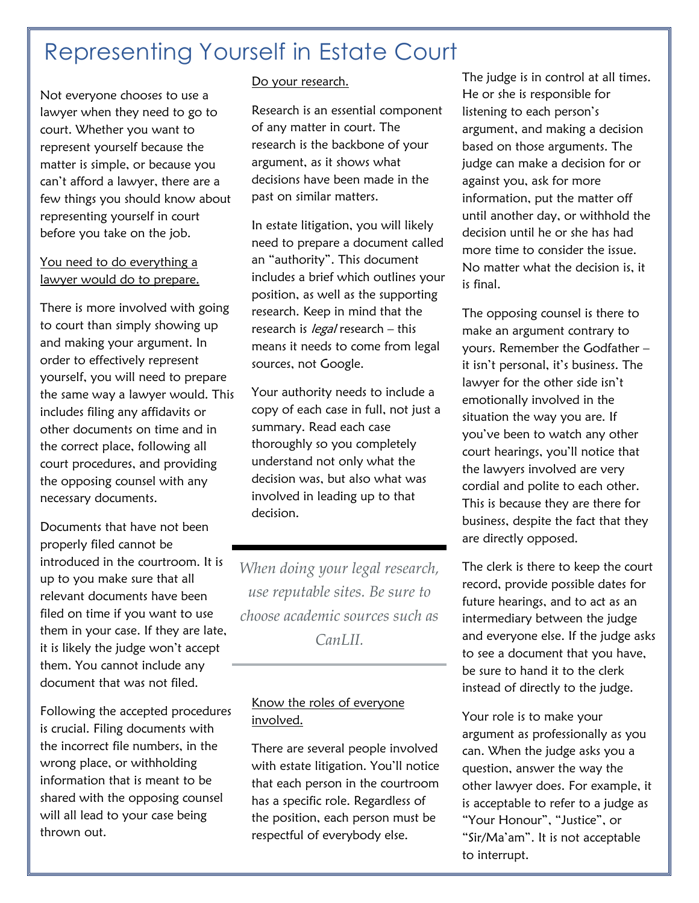### Representing Yourself in Estate Court

Not everyone chooses to use a lawyer when they need to go to court. Whether you want to represent yourself because the matter is simple, or because you can't afford a lawyer, there are a few things you should know about representing yourself in court before you take on the job.

### You need to do everything a lawyer would do to prepare.

There is more involved with going to court than simply showing up and making your argument. In order to effectively represent yourself, you will need to prepare the same way a lawyer would. This includes filing any affidavits or other documents on time and in the correct place, following all court procedures, and providing the opposing counsel with any necessary documents.

Documents that have not been properly filed cannot be introduced in the courtroom. It is up to you make sure that all relevant documents have been filed on time if you want to use them in your case. If they are late, it is likely the judge won't accept them. You cannot include any document that was not filed.

Following the accepted procedures is crucial. Filing documents with the incorrect file numbers, in the wrong place, or withholding information that is meant to be shared with the opposing counsel will all lead to your case being thrown out.

### Do your research.

Research is an essential component of any matter in court. The research is the backbone of your argument, as it shows what decisions have been made in the past on similar matters.

In estate litigation, you will likely need to prepare a document called an "authority". This document includes a brief which outlines your position, as well as the supporting research. Keep in mind that the research is *legal* research – this means it needs to come from legal sources, not Google.

Your authority needs to include a copy of each case in full, not just a summary. Read each case thoroughly so you completely understand not only what the decision was, but also what was involved in leading up to that decision.

*When doing your legal research, use reputable sites. Be sure to choose academic sources such as CanLII.*

### Know the roles of everyone involved.

There are several people involved with estate litigation. You'll notice that each person in the courtroom has a specific role. Regardless of the position, each person must be respectful of everybody else.

The judge is in control at all times. He or she is responsible for listening to each person's argument, and making a decision based on those arguments. The judge can make a decision for or against you, ask for more information, put the matter off until another day, or withhold the decision until he or she has had more time to consider the issue. No matter what the decision is, it is final.

The opposing counsel is there to make an argument contrary to yours. Remember the Godfather – it isn't personal, it's business. The lawyer for the other side isn't emotionally involved in the situation the way you are. If you've been to watch any other court hearings, you'll notice that the lawyers involved are very cordial and polite to each other. This is because they are there for business, despite the fact that they are directly opposed.

The clerk is there to keep the court record, provide possible dates for future hearings, and to act as an intermediary between the judge and everyone else. If the judge asks to see a document that you have, be sure to hand it to the clerk instead of directly to the judge.

Your role is to make your argument as professionally as you can. When the judge asks you a question, answer the way the other lawyer does. For example, it is acceptable to refer to a judge as "Your Honour", "Justice", or "Sir/Ma'am". It is not acceptable to interrupt.